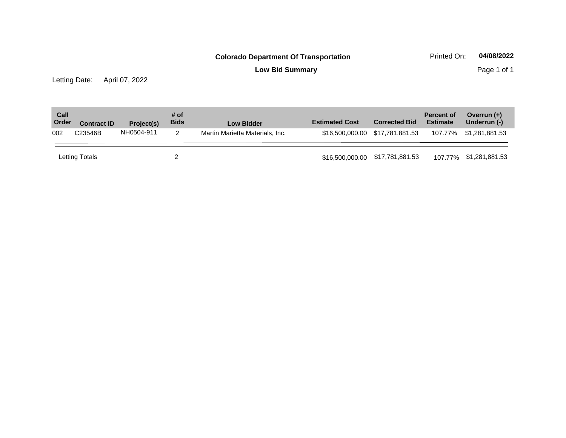**Low Bid Summary** Page 1 of 1

Letting Date: April 07, 2022

| Call<br>Order | <b>Contract ID</b> | Project(s) | # of<br><b>Bids</b> | <b>Low Bidder</b>               | <b>Estimated Cost</b>           | <b>Corrected Bid</b>            | <b>Percent of</b><br><b>Estimate</b> | Overrun $(+)$<br>Underrun (-) |
|---------------|--------------------|------------|---------------------|---------------------------------|---------------------------------|---------------------------------|--------------------------------------|-------------------------------|
| 002           | C23546B            | NH0504-911 | 2                   | Martin Marietta Materials, Inc. |                                 | \$16,500,000.00 \$17,781,881.53 | 107.77%                              | \$1,281,881.53                |
|               | Letting Totals     |            |                     |                                 | \$16,500,000.00 \$17,781,881.53 |                                 |                                      | 107.77% \$1,281,881.53        |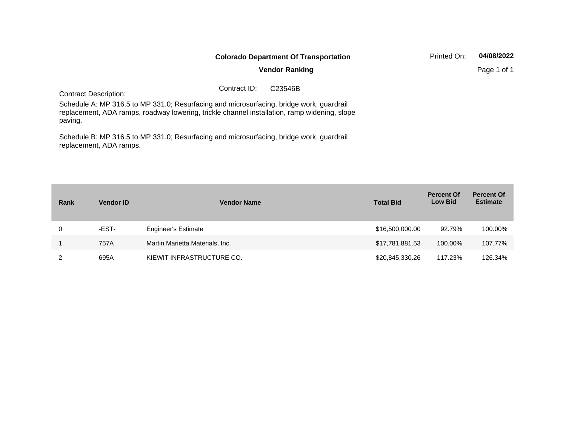|                                                                                                                                                                                                     |                       | <b>Colorado Department Of Transportation</b> | Printed On: | 04/08/2022 |
|-----------------------------------------------------------------------------------------------------------------------------------------------------------------------------------------------------|-----------------------|----------------------------------------------|-------------|------------|
|                                                                                                                                                                                                     | <b>Vendor Ranking</b> |                                              | Page 1 of 1 |            |
| <b>Contract Description:</b>                                                                                                                                                                        | Contract ID:          | C <sub>23546</sub> B                         |             |            |
| Schedule A: MP 316.5 to MP 331.0; Resurfacing and microsurfacing, bridge work, guardrail<br>replacement, ADA ramps, roadway lowering, trickle channel installation, ramp widening, slope<br>paving. |                       |                                              |             |            |
| Schedule B: MP 316.5 to MP 331.0; Resurfacing and microsurfacing, bridge work, guardrail                                                                                                            |                       |                                              |             |            |

replacement, ADA ramps.

| Rank | <b>Vendor ID</b> | <b>Vendor Name</b>              | <b>Total Bid</b> | <b>Percent Of</b><br><b>Low Bid</b> | <b>Percent Of</b><br><b>Estimate</b> |
|------|------------------|---------------------------------|------------------|-------------------------------------|--------------------------------------|
| 0    | -EST-            | <b>Engineer's Estimate</b>      | \$16,500,000.00  | 92.79%                              | 100.00%                              |
|      | 757A             | Martin Marietta Materials, Inc. | \$17,781,881.53  | 100.00%                             | 107.77%                              |
| っ    | 695A             | KIEWIT INFRASTRUCTURE CO.       | \$20,845,330.26  | 117.23%                             | 126.34%                              |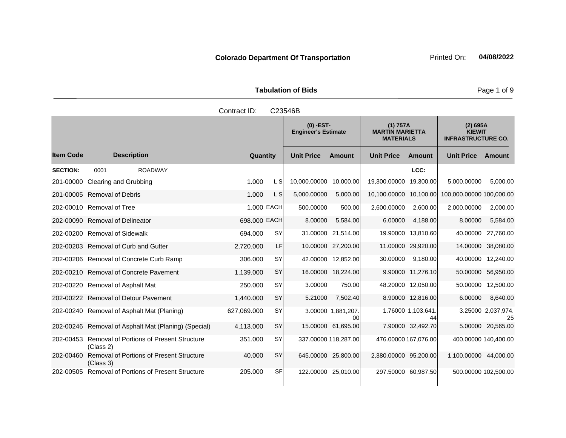**Tabulation of Bids Page 1 of 9 Page 1 of 9** 

| Contract ID:<br>C23546B |               |                                           |                                                        |                                                  |  |  |  |  |  |
|-------------------------|---------------|-------------------------------------------|--------------------------------------------------------|--------------------------------------------------|--|--|--|--|--|
|                         |               | $(0)$ -EST-<br><b>Engineer's Estimate</b> | (1) 757A<br><b>MARTIN MARIETTA</b><br><b>MATERIALS</b> | (2) 695A<br><b>KIEWIT</b><br><b>INFRASTRUCTU</b> |  |  |  |  |  |
| <b>Description</b>      | Quantity      | <b>Unit Price</b><br>Amount               | <b>Unit Price</b><br><b>Amount</b>                     | Unit Price A                                     |  |  |  |  |  |
| <b>ROADWAY</b><br>0001  |               |                                           | LCC:                                                   |                                                  |  |  |  |  |  |
| aring and Grubbing      | L SI<br>1.000 | 10,000.00000<br>10,000.00                 | 19,300.00000<br>19.300.00                              | 5,000.00000                                      |  |  |  |  |  |

Item Code Description Quantity Unit Price Amount Unit Price Amount Unit Price **Ext Amount IRUCTURE CO. SECTION:** 0001 ROADWAY **LCC:** 201-00000 Clearing and Grubbing 1.000 L S 10,000.00000 10,000.00 19,300.0000 19,300.00 5,000.0000 5,000.00 201-00005 Removal of Debris 1.000 C S 3,000 L S 5,000.00000 5,000.00 10,100.0000 10,100.00 100,000.0000 100,000 202-00010 Removal of Tree 1.000 FACH 500.00000 500.00 2,600.00000 2,600.000 2,600.000 2,000.0000 2,000.00 202-00090 Removal of Delineator 698.000 EACH 8.00000 5,584.00 6.00000 4,188.00 8.00000 5,584.00 202-00200 Removal of Sidewalk 694.000 SY 31.00000 21,514.00 19.90000 13,810.60 40.00000 27,760.00 202-00203 Removal of Curb and Gutter 2,720.000 LF 10.00000 27,200.00 11.00000 29,920.00 14.00000 38,080.00 202-00206 Removal of Concrete Curb Ramp 306.000 SY 42.00000 12,852.00 30.00000 9,180.00 40.00000 12,240.00 202-00210 Removal of Concrete Pavement 1,139.000 SY 16.00000 18,224.00 9.90000 11,276.10 50.00000 56,950.00 202-00220 Removal of Asphalt Mat 250.000 SY 3.00000 750.00 48.20000 12,050.00 50.00000 12,500.00 202-00222 Removal of Detour Pavement 1,440.000 SY 5.21000 7,502.40 8.90000 12,816.00 6.00000 8,640.00 202-00240 Removal of Asphalt Mat (Planing) 627,069.000 SY 3.00000 1,881,207. 00 1.76000 1,103,641. 44 3.25000 2,037,974. 25 202-00246 Removal of Asphalt Mat (Planing) (Special) 4,113.000 SY 15.00000 61,695.00 7.90000 32,492.70 5.00000 20,565.00 202-00453 Removal of Portions of Present Structure (Class 2) 351.000 SY 337.00000 118,287.00 476.00000 167,076.00 400.00000 140,400.00 202-00460 Removal of Portions of Present Structure (Class 3) 40.000 SY 645.00000 25,800.00 2,380.00000 95,200.00 1,100.00000 44,000.00

202-00505 Removal of Portions of Present Structure 205.000 SF 122.00000 25,010.00 297.50000 60,987.50 500.00000 102,500.00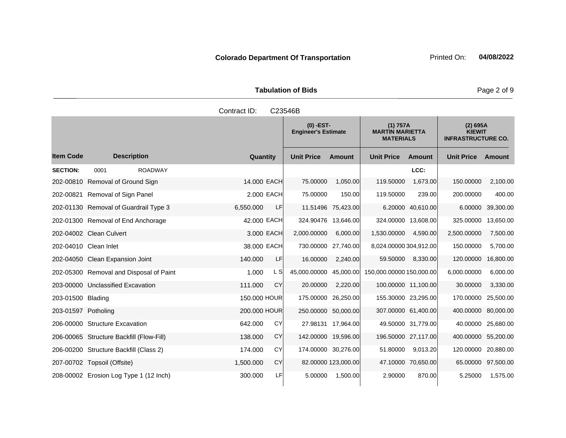**Tabulation of Bids Page 2 of 9** 

|                     |                                          | Contract ID: |           | C23546B                                   |                     |                                                        |                    |                                                        |                    |
|---------------------|------------------------------------------|--------------|-----------|-------------------------------------------|---------------------|--------------------------------------------------------|--------------------|--------------------------------------------------------|--------------------|
|                     |                                          |              |           | $(0)$ -EST-<br><b>Engineer's Estimate</b> |                     | (1) 757A<br><b>MARTIN MARIETTA</b><br><b>MATERIALS</b> |                    | (2) 695A<br><b>KIEWIT</b><br><b>INFRASTRUCTURE CO.</b> |                    |
| <b>Item Code</b>    | <b>Description</b>                       | Quantity     |           | <b>Unit Price</b>                         | <b>Amount</b>       | <b>Unit Price</b>                                      | <b>Amount</b>      | <b>Unit Price</b>                                      | <b>Amount</b>      |
| <b>SECTION:</b>     | <b>ROADWAY</b><br>0001                   |              |           |                                           |                     |                                                        | LCC:               |                                                        |                    |
|                     | 202-00810 Removal of Ground Sign         | 14,000 EACH  |           | 75.00000                                  | 1,050.00            | 119.50000                                              | 1,673.00           | 150.00000                                              | 2,100.00           |
|                     | 202-00821 Removal of Sign Panel          | 2.000 EACH   |           | 75.00000                                  | 150.00              | 119.50000                                              | 239.00             | 200.00000                                              | 400.00             |
|                     | 202-01130 Removal of Guardrail Type 3    | 6,550.000    | LF        |                                           | 11.51496 75,423.00  |                                                        | 6.20000 40,610.00  | 6.00000                                                | 39,300.00          |
|                     | 202-01300 Removal of End Anchorage       | 42.000 EACH  |           | 324.90476                                 | 13,646.00           | 324.00000 13,608.00                                    |                    | 325.00000                                              | 13,650.00          |
|                     | 202-04002 Clean Culvert                  | 3,000 EACH   |           | 2,000.00000                               | 6,000.00            | 1,530.00000                                            | 4,590.00           | 2,500.00000                                            | 7,500.00           |
|                     | 202-04010 Clean Inlet                    | 38,000 EACH  |           | 730.00000 27,740.00                       |                     | 8,024.00000 304,912.00                                 |                    | 150.00000                                              | 5,700.00           |
|                     | 202-04050 Clean Expansion Joint          | 140.000      | LF        | 16.00000                                  | 2,240.00            | 59.50000                                               | 8,330.00           | 120.00000                                              | 16,800.00          |
|                     | 202-05300 Removal and Disposal of Paint  | 1.000        | L S       | 45,000.00000 45,000.00                    |                     | 150,000.00000 150,000.00                               |                    | 6,000.00000                                            | 6,000.00           |
|                     | 203-00000 Unclassified Excavation        | 111.000      | CY        | 20.00000                                  | 2,220.00            | 100.00000 11,100.00                                    |                    | 30.00000                                               | 3,330.00           |
| 203-01500 Blading   |                                          | 150,000 HOUR |           | 175.00000 26,250.00                       |                     | 155.30000 23,295.00                                    |                    | 170.00000                                              | 25,500.00          |
| 203-01597 Potholing |                                          | 200,000 HOUR |           | 250.00000 50,000.00                       |                     | 307.00000 61,400.00                                    |                    | 400.00000                                              | 80,000.00          |
|                     | 206-00000 Structure Excavation           | 642.000      | CY        |                                           | 27.98131 17,964.00  |                                                        | 49.50000 31,779.00 | 40.00000                                               | 25,680.00          |
|                     | 206-00065 Structure Backfill (Flow-Fill) | 138.000      | CY        | 142.00000 19,596.00                       |                     | 196.50000 27,117.00                                    |                    | 400.00000 55,200.00                                    |                    |
|                     | 206-00200 Structure Backfill (Class 2)   | 174.000      | CY        | 174.00000 30,276.00                       |                     | 51.80000                                               | 9,013.20           | 120.00000 20,880.00                                    |                    |
|                     | 207-00702 Topsoil (Offsite)              | 1,500.000    | <b>CY</b> |                                           | 82.00000 123,000.00 |                                                        | 47.10000 70.650.00 |                                                        | 65.00000 97,500.00 |
|                     | 208-00002 Erosion Log Type 1 (12 Inch)   | 300.000      | LF        | 5.00000                                   | 1,500.00            | 2.90000                                                | 870.00             | 5.25000                                                | 1,575.00           |

**Colorado Department Of Transportation Printed On:** 04/08/2022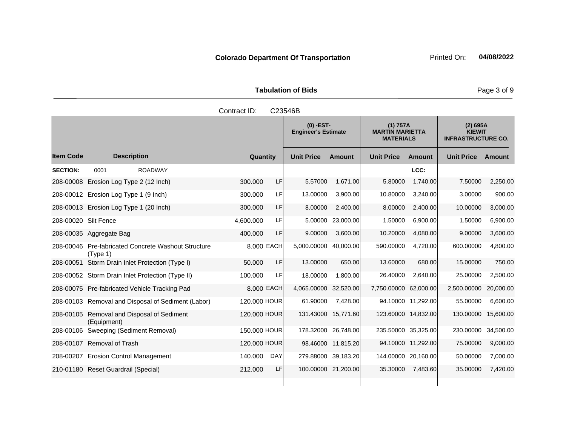**Tabulation of Bids Page 3 of 9** 

|                      |                                                       | Contract ID: |            | C23546B                                   |                     |                                                        |                     |                                                          |           |
|----------------------|-------------------------------------------------------|--------------|------------|-------------------------------------------|---------------------|--------------------------------------------------------|---------------------|----------------------------------------------------------|-----------|
|                      |                                                       |              |            | $(0)$ -EST-<br><b>Engineer's Estimate</b> |                     | (1) 757A<br><b>MARTIN MARIETTA</b><br><b>MATERIALS</b> |                     | $(2)$ 695A<br><b>KIEWIT</b><br><b>INFRASTRUCTURE CO.</b> |           |
| <b>Item Code</b>     | <b>Description</b>                                    |              | Quantity   | <b>Unit Price</b>                         | <b>Amount</b>       | <b>Unit Price</b>                                      | <b>Amount</b>       | <b>Unit Price</b>                                        | Amount    |
| <b>SECTION:</b>      | <b>ROADWAY</b><br>0001                                |              |            |                                           |                     |                                                        | LCC:                |                                                          |           |
|                      | 208-00008 Erosion Log Type 2 (12 Inch)                | 300.000      | <b>LF</b>  | 5.57000                                   | 1,671.00            | 5.80000                                                | 1,740.00            | 7.50000                                                  | 2,250.00  |
|                      | 208-00012 Erosion Log Type 1 (9 Inch)                 | 300.000      | <b>LF</b>  | 13.00000                                  | 3,900.00            | 10.80000                                               | 3,240.00            | 3.00000                                                  | 900.00    |
|                      | 208-00013 Erosion Log Type 1 (20 Inch)                | 300,000      | LF         | 8.00000                                   | 2,400.00            | 8.00000                                                | 2,400.00            | 10.00000                                                 | 3,000.00  |
| 208-00020 Silt Fence |                                                       | 4,600.000    | LF         | 5.00000                                   | 23,000.00           | 1.50000                                                | 6,900.00            | 1.50000                                                  | 6,900.00  |
|                      | 208-00035 Aggregate Bag                               | 400.000      | LF         | 9.00000                                   | 3,600.00            | 10.20000                                               | 4,080.00            | 9.00000                                                  | 3,600.00  |
| 208-00046            | Pre-fabricated Concrete Washout Structure<br>(Type 1) |              | 8,000 EACH | 5,000.00000                               | 40,000.00           | 590.00000                                              | 4,720.00            | 600.00000                                                | 4,800.00  |
|                      | 208-00051 Storm Drain Inlet Protection (Type I)       | 50.000       | LF         | 13.00000                                  | 650.00              | 13.60000                                               | 680.00              | 15.00000                                                 | 750.00    |
|                      | 208-00052 Storm Drain Inlet Protection (Type II)      | 100.000      | LFI        | 18.00000                                  | 1,800.00            | 26.40000                                               | 2,640.00            | 25.00000                                                 | 2,500.00  |
|                      | 208-00075 Pre-fabricated Vehicle Tracking Pad         |              | 8,000 EACH | 4,065.00000                               | 32,520.00           | 7,750,00000                                            | 62,000.00           | 2,500.00000                                              | 20,000.00 |
|                      | 208-00103 Removal and Disposal of Sediment (Labor)    | 120.000 HOUR |            | 61.90000                                  | 7,428.00            |                                                        | 94.10000 11,292.00  | 55.00000                                                 | 6,600.00  |
| 208-00105            | Removal and Disposal of Sediment<br>(Equipment)       | 120,000 HOUR |            |                                           | 131.43000 15,771.60 |                                                        | 123.60000 14,832.00 | 130.00000                                                | 15,600.00 |
|                      | 208-00106 Sweeping (Sediment Removal)                 | 150.000 HOUR |            |                                           | 178.32000 26,748.00 |                                                        | 235.50000 35,325.00 | 230.00000                                                | 34,500.00 |
|                      | 208-00107 Removal of Trash                            | 120,000 HOUR |            |                                           | 98.46000 11,815.20  |                                                        | 94.10000 11,292.00  | 75.00000                                                 | 9,000.00  |
|                      | 208-00207 Erosion Control Management                  | 140.000      | <b>DAY</b> |                                           | 279.88000 39.183.20 |                                                        | 144.00000 20,160.00 | 50.00000                                                 | 7,000.00  |
|                      | 210-01180 Reset Guardrail (Special)                   | 212.000      | LF         |                                           | 100.00000 21,200.00 | 35.30000                                               | 7,483.60            | 35.00000                                                 | 7,420.00  |
|                      |                                                       |              |            |                                           |                     |                                                        |                     |                                                          |           |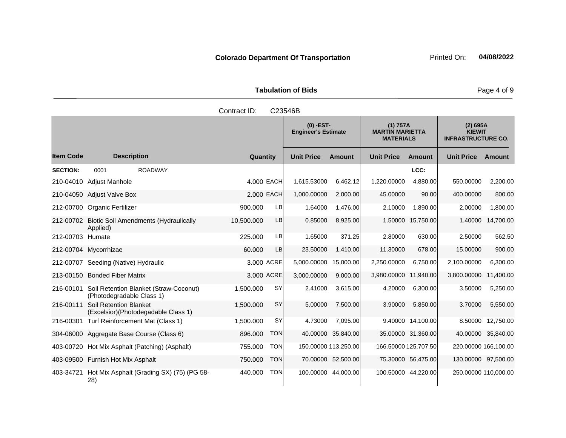**Tabulation of Bids Page 4 of 9** 

|                  |                                                                               | Contract ID: |            | C23546B                                   |                    |                                                        |                      |                                                        |               |
|------------------|-------------------------------------------------------------------------------|--------------|------------|-------------------------------------------|--------------------|--------------------------------------------------------|----------------------|--------------------------------------------------------|---------------|
|                  |                                                                               |              |            | $(0)$ -EST-<br><b>Engineer's Estimate</b> |                    | (1) 757A<br><b>MARTIN MARIETTA</b><br><b>MATERIALS</b> |                      | (2) 695A<br><b>KIEWIT</b><br><b>INFRASTRUCTURE CO.</b> |               |
| <b>Item Code</b> | <b>Description</b>                                                            | Quantity     |            | <b>Unit Price</b>                         | <b>Amount</b>      | <b>Unit Price</b>                                      | <b>Amount</b>        | <b>Unit Price</b>                                      | <b>Amount</b> |
| <b>SECTION:</b>  | 0001<br><b>ROADWAY</b>                                                        |              |            |                                           |                    |                                                        | LCC:                 |                                                        |               |
| 210-04010        | Adjust Manhole                                                                |              | 4.000 EACH | 1,615.53000                               | 6,462.12           | 1,220.00000                                            | 4,880.00             | 550.00000                                              | 2,200.00      |
|                  | 210-04050 Adjust Valve Box                                                    |              | 2.000 EACH | 1,000.00000                               | 2,000.00           | 45.00000                                               | 90.00                | 400.00000                                              | 800.00        |
|                  | 212-00700 Organic Fertilizer                                                  | 900.000      | LB         | 1.64000                                   | 1,476.00           | 2.10000                                                | 1,890.00             | 2.00000                                                | 1,800.00      |
|                  | 212-00702 Biotic Soil Amendments (Hydraulically<br>Applied)                   | 10,500.000   | LB         | 0.85000                                   | 8,925.00           | 1.50000                                                | 15,750.00            | 1.40000                                                | 14,700.00     |
| 212-00703 Humate |                                                                               | 225.000      | LB         | 1.65000                                   | 371.25             | 2.80000                                                | 630.00               | 2.50000                                                | 562.50        |
|                  | 212-00704 Mycorrhizae                                                         | 60.000       | LB         | 23.50000                                  | 1,410.00           | 11.30000                                               | 678.00               | 15.00000                                               | 900.00        |
|                  | 212-00707 Seeding (Native) Hydraulic                                          |              | 3,000 ACRE | 5,000.00000                               | 15,000.00          | 2,250.00000                                            | 6,750.00             | 2,100.00000                                            | 6,300.00      |
|                  | 213-00150 Bonded Fiber Matrix                                                 |              | 3.000 ACRE | 3,000.00000                               | 9,000.00           | 3,980.00000                                            | 11,940.00            | 3,800.00000                                            | 11,400.00     |
|                  | 216-00101 Soil Retention Blanket (Straw-Coconut)<br>(Photodegradable Class 1) | 1,500.000    | <b>SY</b>  | 2.41000                                   | 3,615.00           | 4.20000                                                | 6,300.00             | 3.50000                                                | 5,250.00      |
| 216-00111        | Soil Retention Blanket<br>(Excelsior) (Photodegadable Class 1)                | 1,500.000    | <b>SY</b>  | 5.00000                                   | 7,500.00           | 3.90000                                                | 5,850.00             | 3.70000                                                | 5,550.00      |
|                  | 216-00301 Turf Reinforcement Mat (Class 1)                                    | 1,500.000    | <b>SY</b>  | 4.73000                                   | 7,095.00           |                                                        | 9.40000 14,100.00    | 8.50000                                                | 12,750.00     |
|                  | 304-06000 Aggregate Base Course (Class 6)                                     | 896.000      | <b>TON</b> |                                           | 40.00000 35,840.00 |                                                        | 35.00000 31,360.00   | 40.00000                                               | 35,840.00     |
|                  | 403-00720 Hot Mix Asphalt (Patching) (Asphalt)                                | 755.000      | <b>TON</b> | 150.00000 113,250.00                      |                    |                                                        | 166.50000 125,707.50 | 220.00000 166,100.00                                   |               |
|                  | 403-09500 Furnish Hot Mix Asphalt                                             | 750.000      | <b>TON</b> |                                           | 70.00000 52,500.00 |                                                        | 75.30000 56,475.00   | 130.00000 97,500.00                                    |               |
| 403-34721        | Hot Mix Asphalt (Grading SX) (75) (PG 58-<br>28)                              | 440.000      | <b>TON</b> | 100.00000 44,000.00                       |                    | 100.50000 44,220.00                                    |                      | 250.00000 110,000.00                                   |               |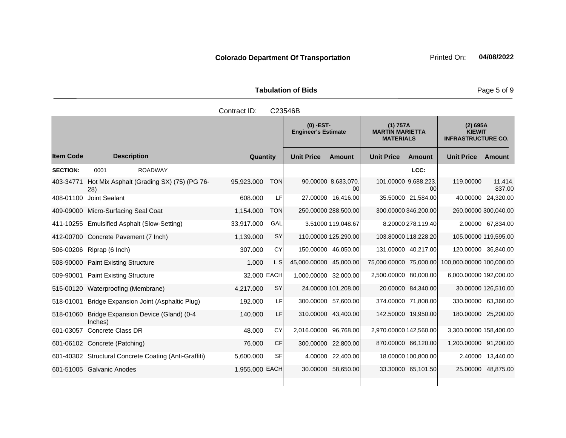| <b>Tabulation of Bids</b> |                       |                         |  |  |  |  |  |  |  |  |
|---------------------------|-----------------------|-------------------------|--|--|--|--|--|--|--|--|
| Contract ID: C23546B      |                       |                         |  |  |  |  |  |  |  |  |
|                           | $\sqrt{2}$ $\sqrt{2}$ | $14Y = F \rightarrow A$ |  |  |  |  |  |  |  |  |

|                  |                                                           |                |            | $(0)$ -EST-<br><b>Engineer's Estimate</b> |                           | (1) 757A<br><b>MARTIN MARIETTA</b><br><b>MATERIALS</b> |                      | (2) 695A<br><b>KIEWIT</b><br><b>INFRASTRUCTURE CO.</b> |                     |
|------------------|-----------------------------------------------------------|----------------|------------|-------------------------------------------|---------------------------|--------------------------------------------------------|----------------------|--------------------------------------------------------|---------------------|
| <b>Item Code</b> | <b>Description</b>                                        | Quantity       |            | <b>Unit Price</b>                         | <b>Amount</b>             | <b>Unit Price</b>                                      | <b>Amount</b>        | <b>Unit Price</b>                                      | <b>Amount</b>       |
| <b>SECTION:</b>  | 0001<br><b>ROADWAY</b>                                    |                |            |                                           |                           |                                                        | LCC:                 |                                                        |                     |
| 403-34771        | Hot Mix Asphalt (Grading SX) (75) (PG 76-<br>28)          | 95,923.000     | <b>TON</b> |                                           | 90.00000 8,633,070.<br>00 | 101.00000 9,688,223.                                   | 00                   | 119.00000                                              | 11,414,<br>837.00   |
|                  | 408-01100 Joint Sealant                                   | 608.000        | LF         |                                           | 27.00000 16,416.00        |                                                        | 35.50000 21,584.00   |                                                        | 40.00000 24,320.00  |
|                  | 409-09000 Micro-Surfacing Seal Coat                       | 1,154.000      | <b>TON</b> |                                           | 250.00000 288,500.00      |                                                        | 300.00000 346,200.00 | 260.00000 300,040.00                                   |                     |
|                  | 411-10255 Emulsified Asphalt (Slow-Setting)               | 33,917.000     | GAL        |                                           | 3.51000 119,048.67        |                                                        | 8.20000 278,119.40   |                                                        | 2.00000 67,834.00   |
|                  | 412-00700 Concrete Pavement (7 Inch)                      | 1,139.000      | SY         |                                           | 110.00000 125,290.00      |                                                        | 103.80000 118,228.20 | 105.00000 119,595.00                                   |                     |
|                  | 506-00206 Riprap (6 Inch)                                 | 307.000        | <b>CY</b>  |                                           | 150.00000 46,050.00       |                                                        | 131.00000 40,217.00  | 120.00000 36,840.00                                    |                     |
|                  | 508-90000 Paint Existing Structure                        | 1.000          | L S        | 45,000.00000 45,000.00                    |                           | 75,000.00000 75,000.00                                 |                      | 100,000.00000 100,000.00                               |                     |
|                  | 509-90001 Paint Existing Structure                        | 32,000 EACH    |            | 1,000.00000 32,000.00                     |                           | 2,500.00000 80,000.00                                  |                      | 6,000.00000 192,000.00                                 |                     |
|                  | 515-00120 Waterproofing (Membrane)                        | 4,217.000      | <b>SY</b>  |                                           | 24.00000 101,208.00       |                                                        | 20.00000 84,340.00   |                                                        | 30.00000 126,510.00 |
| 518-01001        | Bridge Expansion Joint (Asphaltic Plug)                   | 192.000        | LF         |                                           | 300.00000 57,600.00       |                                                        | 374.00000 71,808.00  | 330.00000 63,360.00                                    |                     |
|                  | 518-01060 Bridge Expansion Device (Gland) (0-4<br>Inches) | 140.000        | LF         |                                           | 310.00000 43,400.00       |                                                        | 142.50000 19,950.00  | 180.00000 25,200.00                                    |                     |
| 601-03057        | Concrete Class DR                                         | 48.000         | <b>CY</b>  | 2,016.00000 96,768.00                     |                           | 2,970.00000 142,560.00                                 |                      | 3,300.00000 158,400.00                                 |                     |
|                  | 601-06102 Concrete (Patching)                             | 76.000         | <b>CF</b>  |                                           | 300.00000 22,800.00       |                                                        | 870.00000 66,120.00  | 1,200.00000 91,200.00                                  |                     |
|                  | 601-40302 Structural Concrete Coating (Anti-Graffiti)     | 5,600.000      | <b>SF</b>  |                                           | 4.00000 22,400.00         |                                                        | 18.00000 100,800.00  | 2.40000                                                | 13,440.00           |
|                  | 601-51005 Galvanic Anodes                                 | 1,955.000 EACH |            |                                           | 30.00000 58,650.00        |                                                        | 33.30000 65,101.50   |                                                        | 25.00000 48,875.00  |
|                  |                                                           |                |            |                                           |                           |                                                        |                      |                                                        |                     |

Page 5 of 9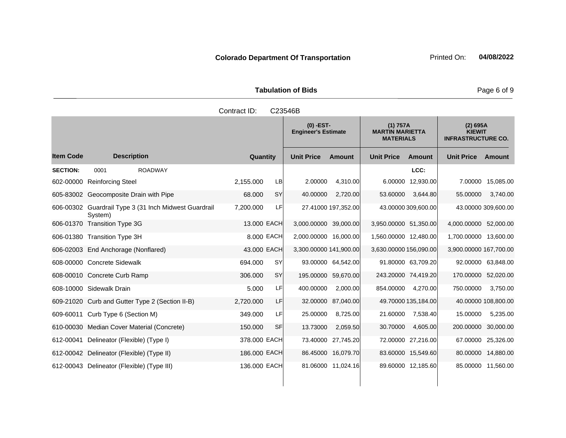| <b>Tabulation of Bids</b> | Page 6 of 9                      |                                                        |                                                        |
|---------------------------|----------------------------------|--------------------------------------------------------|--------------------------------------------------------|
| Contract ID:              | C23546B                          |                                                        |                                                        |
|                           | (0) -EST-<br>Engineer's Estimate | (1) 757A<br><b>MARTIN MARIETTA</b><br><b>MATERIALS</b> | (2) 695A<br><b>KIEWIT</b><br><b>INFRASTRUCTURE CO.</b> |
|                           |                                  |                                                        |                                                        |

and the state of the state of the state

|                  |                                                                  |                      |                        | $(0)$ -EST-<br><b>Engineer's Estimate</b> |                        | (1) 757A<br><b>MARTIN MARIETTA</b><br><b>MATERIALS</b> |                        | (2) 695A<br><b>KIEWIT</b><br><b>INFRASTRUCTURE CO.</b> |
|------------------|------------------------------------------------------------------|----------------------|------------------------|-------------------------------------------|------------------------|--------------------------------------------------------|------------------------|--------------------------------------------------------|
| <b>Item Code</b> | <b>Description</b>                                               | Quantity             | <b>Unit Price</b>      | <b>Amount</b>                             | <b>Unit Price</b>      | Amount                                                 | <b>Unit Price</b>      | Amount                                                 |
| <b>SECTION:</b>  | <b>ROADWAY</b><br>0001                                           |                      |                        |                                           |                        | LCC:                                                   |                        |                                                        |
| 602-00000        | <b>Reinforcing Steel</b>                                         | 2,155.000<br>LB      | 2.00000                | 4,310.00                                  | 6.00000                | 12,930.00                                              | 7.00000                | 15,085.00                                              |
|                  | 605-83002 Geocomposite Drain with Pipe                           | SY<br>68.000         | 40.00000               | 2,720.00                                  | 53.60000               | 3,644.80                                               | 55.00000               | 3,740.00                                               |
|                  | 606-00302 Guardrail Type 3 (31 Inch Midwest Guardrail<br>System) | 7,200.000<br>LF      |                        | 27.41000 197,352.00                       |                        | 43.00000 309,600.00                                    |                        | 43.00000 309,600.00                                    |
|                  | 606-01370 Transition Type 3G                                     | 13,000 EACH          | 3,000.00000 39,000.00  |                                           | 3,950.00000 51,350.00  |                                                        | 4,000.00000 52,000.00  |                                                        |
|                  | 606-01380 Transition Type 3H                                     | 8,000 EACH           | 2,000.00000 16,000.00  |                                           | 1,560.00000 12,480.00  |                                                        | 1,700.00000 13,600.00  |                                                        |
|                  | 606-02003 End Anchorage (Nonflared)                              | 43.000 EACH          | 3,300.00000 141,900.00 |                                           | 3,630.00000 156,090.00 |                                                        | 3,900.00000 167,700.00 |                                                        |
|                  | 608-00000 Concrete Sidewalk                                      | 694.000<br><b>SY</b> |                        | 93.00000 64,542.00                        |                        | 91.80000 63,709.20                                     |                        | 92.00000 63,848.00                                     |
|                  | 608-00010 Concrete Curb Ramp                                     | <b>SY</b><br>306.000 |                        | 195.00000 59,670.00                       |                        | 243.20000 74,419.20                                    | 170.00000 52,020.00    |                                                        |
|                  | 608-10000 Sidewalk Drain                                         | LF<br>5.000          | 400.00000              | 2,000.00                                  | 854.00000              | 4,270.00                                               | 750.00000              | 3,750.00                                               |
|                  | 609-21020 Curb and Gutter Type 2 (Section II-B)                  | 2,720.000<br>LF      |                        | 32.00000 87,040.00                        |                        | 49.70000 135,184.00                                    |                        | 40.00000 108,800.00                                    |
|                  | 609-60011 Curb Type 6 (Section M)                                | LF<br>349.000        | 25.00000               | 8,725.00                                  | 21.60000               | 7,538.40                                               | 15.00000               | 5,235.00                                               |
|                  | 610-00030 Median Cover Material (Concrete)                       | <b>SF</b><br>150.000 | 13.73000               | 2,059.50                                  | 30.70000               | 4,605.00                                               | 200.00000              | 30,000.00                                              |
|                  | 612-00041 Delineator (Flexible) (Type I)                         | 378.000 EACH         |                        | 73.40000 27,745.20                        |                        | 72.00000 27,216.00                                     |                        | 67.00000 25,326.00                                     |
|                  | 612-00042 Delineator (Flexible) (Type II)                        | 186.000 EACH         |                        | 86.45000 16,079.70                        |                        | 83.60000 15,549.60                                     |                        | 80.00000 14,880.00                                     |
|                  | 612-00043 Delineator (Flexible) (Type III)                       | 136.000 EACH         |                        | 81.06000 11,024.16                        |                        | 89.60000 12,185.60                                     |                        | 85.00000 11,560.00                                     |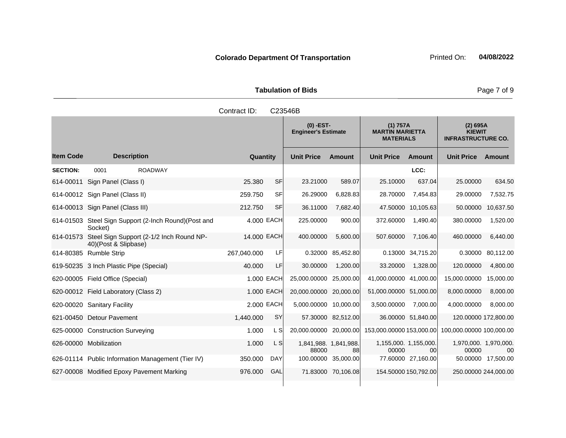**Tabulation of Bids** Page 7 of 9

|                  |                                                                            | Contract ID: |            | C23546B                                   |                    |                                                        |                    |                                                        |                    |
|------------------|----------------------------------------------------------------------------|--------------|------------|-------------------------------------------|--------------------|--------------------------------------------------------|--------------------|--------------------------------------------------------|--------------------|
|                  |                                                                            |              |            | $(0)$ -EST-<br><b>Engineer's Estimate</b> |                    | (1) 757A<br><b>MARTIN MARIETTA</b><br><b>MATERIALS</b> |                    | (2) 695A<br><b>KIEWIT</b><br><b>INFRASTRUCTURE CO.</b> |                    |
| <b>Item Code</b> | <b>Description</b>                                                         | Quantity     |            | <b>Unit Price</b>                         | <b>Amount</b>      | <b>Unit Price</b>                                      | Amount             | <b>Unit Price</b>                                      | <b>Amount</b>      |
| <b>SECTION:</b>  | 0001<br><b>ROADWAY</b>                                                     |              |            |                                           |                    |                                                        | LCC:               |                                                        |                    |
|                  | 614-00011 Sign Panel (Class I)                                             | 25,380       | <b>SF</b>  | 23.21000                                  | 589.07             | 25.10000                                               | 637.04             | 25.00000                                               | 634.50             |
|                  | 614-00012 Sign Panel (Class II)                                            | 259.750      | <b>SF</b>  | 26.29000                                  | 6,828.83           | 28.70000                                               | 7,454.83           | 29.00000                                               | 7,532.75           |
|                  | 614-00013 Sign Panel (Class III)                                           | 212.750      | <b>SF</b>  | 36.11000                                  | 7,682.40           |                                                        | 47.50000 10,105.63 | 50.00000                                               | 10,637.50          |
|                  | 614-01503 Steel Sign Support (2-Inch Round)(Post and<br>Socket)            |              | 4,000 EACH | 225.00000                                 | 900.00             | 372.60000                                              | 1,490.40           | 380.00000                                              | 1,520.00           |
|                  | 614-01573 Steel Sign Support (2-1/2 Inch Round NP-<br>40)(Post & Slipbase) | 14,000 EACH  |            | 400.00000                                 | 5,600.00           | 507.60000                                              | 7,106.40           | 460.00000                                              | 6,440.00           |
|                  | 614-80385 Rumble Strip                                                     | 267.040.000  | LF         |                                           | 0.32000 85,452.80  |                                                        | 0.13000 34,715.20  | 0.30000                                                | 80,112.00          |
|                  | 619-50235 3 Inch Plastic Pipe (Special)                                    | 40.000       | LF         | 30.00000                                  | 1,200.00           | 33.20000                                               | 1,328.00           | 120.00000                                              | 4,800.00           |
|                  | 620-00005 Field Office (Special)                                           |              | 1.000 EACH | 25,000.00000 25,000.00                    |                    | 41,000.00000 41,000.00                                 |                    | 15,000.00000                                           | 15,000.00          |
|                  | 620-00012 Field Laboratory (Class 2)                                       |              | 1.000 EACH | 20,000.00000 20,000.00                    |                    | 51,000.00000 51,000.00                                 |                    | 8,000.00000                                            | 8,000.00           |
|                  | 620-00020 Sanitary Facility                                                |              | 2,000 EACH | 5,000.00000 10,000.00                     |                    | 3,500.00000                                            | 7,000.00           | 4,000.00000                                            | 8,000.00           |
|                  | 621-00450 Detour Pavement                                                  | 1,440.000    | <b>SY</b>  |                                           | 57.30000 82,512.00 |                                                        | 36.00000 51,840.00 | 120.00000 172,800.00                                   |                    |
|                  | 625-00000 Construction Surveying                                           | 1.000        | L SI       | 20,000.00000 20,000.00                    |                    |                                                        |                    | 153,000.00000 153,000.00 100,000.00000 100,000.00      |                    |
|                  | 626-00000 Mobilization                                                     | 1.000        | L S        | 1,841,988. 1,841,988.<br>88000            | 88                 | 1,155,000. 1,155,000.<br>00000                         | 00                 | 1,970,000. 1,970,000.<br>00000                         | 00                 |
|                  | 626-01114 Public Information Management (Tier IV)                          | 350.000      | <b>DAY</b> | 100.00000 35,000.00                       |                    |                                                        | 77.60000 27,160.00 |                                                        | 50.00000 17,500.00 |
|                  | 627-00008 Modified Epoxy Pavement Marking                                  | 976.000      | GAL        |                                           | 71.83000 70,106.08 | 154.50000 150,792.00                                   |                    | 250.00000 244,000.00                                   |                    |
|                  |                                                                            |              |            |                                           |                    |                                                        |                    |                                                        |                    |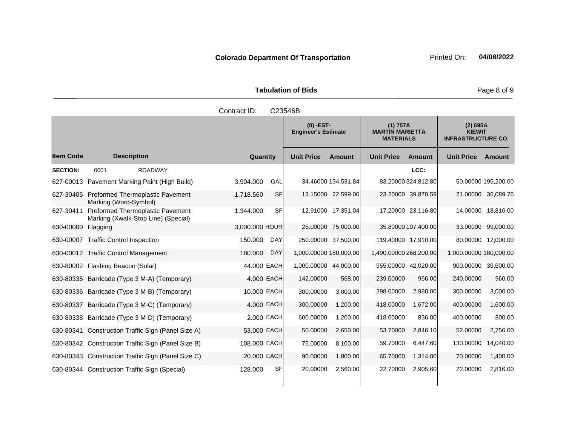| <b>Tabulation of Bids</b> | Page 8 of 9                               |                                                        |                                                        |
|---------------------------|-------------------------------------------|--------------------------------------------------------|--------------------------------------------------------|
| Contract ID:              | C23546B                                   |                                                        |                                                        |
|                           | $(0)$ -EST-<br><b>Engineer's Estimate</b> | (1) 757A<br><b>MARTIN MARIETTA</b><br><b>MATERIALS</b> | (2) 695A<br><b>KIEWIT</b><br><b>INFRASTRUCTURE CO.</b> |

|                  |                                                                         |                        | <b>Engineer's Estimate</b> |               | <b>MARTIN MARIETTA</b><br><b>MATERIALS</b> |                     | <b>KIEWIT</b><br><b>INFRASTRUCTURE CO.</b> |                     |
|------------------|-------------------------------------------------------------------------|------------------------|----------------------------|---------------|--------------------------------------------|---------------------|--------------------------------------------|---------------------|
| <b>Item Code</b> | <b>Description</b>                                                      | Quantity               | <b>Unit Price</b>          | <b>Amount</b> | <b>Unit Price</b>                          | Amount              | <b>Unit Price</b>                          | Amount              |
| <b>SECTION:</b>  | 0001<br><b>ROADWAY</b>                                                  |                        |                            |               |                                            | LCC:                |                                            |                     |
|                  | 627-00013 Pavement Marking Paint (High Build)                           | 3,904.000<br>GAL       | 34.46000 134,531.84        |               |                                            | 83.20000 324,812.80 |                                            | 50.00000 195,200.00 |
| 627-30405        | <b>Preformed Thermoplastic Pavement</b><br>Marking (Word-Symbol)        | <b>SF</b><br>1,718.560 | 13.15000 22,599.06         |               |                                            | 23.20000 39,870.59  |                                            | 21.00000 36,089.76  |
| 627-30411        | Preformed Thermoplastic Pavement<br>Marking (Xwalk-Stop Line) (Special) | SFI<br>1,344.000       | 12.91000 17,351.04         |               |                                            | 17.20000 23,116.80  |                                            | 14.00000 18,816.00  |
| 630-00000        | Flagging                                                                | 3,000.000 HOUR         | 25.00000 75,000.00         |               |                                            | 35.80000 107,400.00 |                                            | 33.00000 99,000.00  |
|                  | 630-00007 Traffic Control Inspection                                    | 150.000<br>DAY         | 250.00000 37,500.00        |               |                                            | 119.40000 17,910.00 |                                            | 80.00000 12,000.00  |
|                  | 630-00012 Traffic Control Management                                    | 180.000<br><b>DAY</b>  | 1,000.00000 180,000.00     |               | 1,490.00000 268,200.00                     |                     | 1,000.00000 180,000.00                     |                     |
|                  | 630-80002 Flashing Beacon (Solar)                                       | 44.000 EACH            | 1,000.00000 44,000.00      |               |                                            | 955.00000 42,020.00 | 900.00000 39,600.00                        |                     |
|                  | 630-80335 Barricade (Type 3 M-A) (Temporary)                            | 4.000 EACH             | 142.00000                  | 568.00        | 239.00000                                  | 956.00              | 240.00000                                  | 960.00              |
|                  | 630-80336 Barricade (Type 3 M-B) (Temporary)                            | 10.000 EACH            | 300.00000                  | 3,000.00      | 298.00000                                  | 2,980.00            | 300.00000                                  | 3,000.00            |
| 630-80337        | Barricade (Type 3 M-C) (Temporary)                                      | 4.000 EACH             | 300.00000                  | 1,200.00      | 418.00000                                  | 1,672.00            | 400.00000                                  | 1,600.00            |
| 630-80338        | Barricade (Type 3 M-D) (Temporary)                                      | 2.000 EACH             | 600.00000                  | 1,200.00      | 418.00000                                  | 836.00              | 400.00000                                  | 800.00              |
| 630-80341        | Construction Traffic Sign (Panel Size A)                                | 53.000 EACH            | 50.00000                   | 2,650.00      | 53.70000                                   | 2,846.10            | 52.00000                                   | 2,756.00            |
|                  | 630-80342 Construction Traffic Sign (Panel Size B)                      | 108.000 EACH           | 75.00000                   | 8,100.00      | 59.70000                                   | 6,447.60            | 130.00000                                  | 14,040.00           |
|                  | 630-80343 Construction Traffic Sign (Panel Size C)                      | 20.000 EACH            | 90.00000                   | 1,800.00      | 65.70000                                   | 1,314.00            | 70.00000                                   | 1,400.00            |
|                  | 630-80344 Construction Traffic Sign (Special)                           | 128.000<br><b>SF</b>   | 20.00000                   | 2,560.00      | 22.70000                                   | 2,905.60            | 22.00000                                   | 2,816.00            |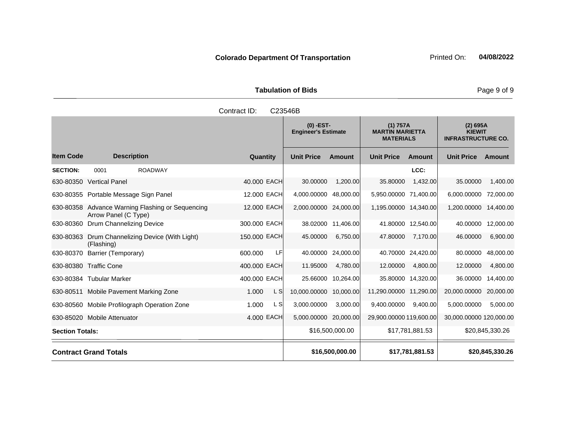**Tabulation of Bids** Page 9 of 9

|                  |                       |                    | Contract ID: | C23546B                                   |               |                                                        |               |                                                        |               |
|------------------|-----------------------|--------------------|--------------|-------------------------------------------|---------------|--------------------------------------------------------|---------------|--------------------------------------------------------|---------------|
|                  |                       |                    |              | $(0)$ -EST-<br><b>Engineer's Estimate</b> |               | (1) 757A<br><b>MARTIN MARIETTA</b><br><b>MATERIALS</b> |               | (2) 695A<br><b>KIEWIT</b><br><b>INFRASTRUCTURE CO.</b> |               |
| <b>Item Code</b> |                       | <b>Description</b> | Quantity     | <b>Unit Price</b>                         | <b>Amount</b> | <b>Unit Price</b>                                      | <b>Amount</b> | <b>Unit Price</b>                                      | <b>Amount</b> |
| <b>SECTION:</b>  | 0001                  | <b>ROADWAY</b>     |              |                                           |               |                                                        | LCC:          |                                                        |               |
| 630-80350        | <b>Vertical Panel</b> |                    | 40,000 EACH  | 30.00000                                  | 1,200.00      | 35.80000                                               | 1,432.00      | 35.00000                                               | 1,400.00      |

# 630-80355 Portable Message Sign Panel 12.000 EACH 4,000.00000 48,000.00 5,950.00000 71,400.00 6,000.00000 72,000.00 630-80358 Advance Warning Flashing or Sequencing 12.000 EACH 2,000.00000 24,000.00 1,195.00000 14,340.00 1,200.00000 14,400.00

630-80360 Drum Channelizing Device 300.000 EACH 38.02000 11,406.00 41.80000 12,540.00 40.00000 12,000.00

630-80363 Drum Channelizing Device (With Light) (Flashing) 150.000 EACH 45.00000 6,750.00 47.80000 7,170.00 46.00000 6,900.00 630-80370 Barrier (Temporary) 600.000 LF 40.00000 24,000.00 40.70000 24,420.00 80.00000 48,000.00 630-80380 Traffic Cone 400.000 EACH 11.95000 4,780.00 12.00000 4,800.00 12.00000 4,800.00

Arrow Panel (C Type)

630-80384 Tubular Marker 400.000 EACH 25.66000 10,264.00 35.80000 14,320.00 36.00000 14,400.00 630-80511 Mobile Pavement Marking Zone 1.000 L S 10,000.00000 10,000.00 11,290.0000 11,290.00 20,000.000 20,000.00 630-80560 Mobile Profilograph Operation Zone 1.000 L S 3,000.00000 3,000.00 9,400.00000 9,400.00 5,000.00000 5,000.00 630-85020 Mobile Attenuator 4.000 EACH 5,000.00000 20,000.00 29,900.00000 119,600.00 30,000.00000 120,000.00 Section Totals: \$16,500,000.00 | \$17,781,881.53 | \$20,845,330.26 **Contract Grand Totals \$16,500,000.00 \$17,781,881.53 \$20,845,330.26**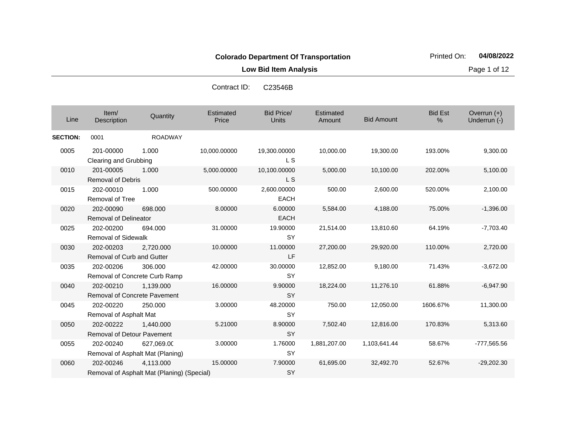**Low Bid Item Analysis Page 1 of 12** 

| Contract ID: | C23546B |
|--------------|---------|
|              |         |

| Line            | Item/<br><b>Description</b>                      | Quantity                                                | Estimated<br>Price | <b>Bid Price/</b><br>Units | Estimated<br>Amount | <b>Bid Amount</b> | <b>Bid Est</b><br>% | Overrun $(+)$<br>Underrun (-) |
|-----------------|--------------------------------------------------|---------------------------------------------------------|--------------------|----------------------------|---------------------|-------------------|---------------------|-------------------------------|
| <b>SECTION:</b> | 0001                                             | <b>ROADWAY</b>                                          |                    |                            |                     |                   |                     |                               |
| 0005            | 201-00000<br>Clearing and Grubbing               | 1.000                                                   | 10,000.00000       | 19,300.00000<br><b>LS</b>  | 10,000.00           | 19,300.00         | 193.00%             | 9,300.00                      |
| 0010            | 201-00005<br><b>Removal of Debris</b>            | 1.000                                                   | 5,000.00000        | 10,100.00000<br><b>LS</b>  | 5,000.00            | 10,100.00         | 202.00%             | 5,100.00                      |
| 0015            | 202-00010<br><b>Removal of Tree</b>              | 1.000                                                   | 500.00000          | 2,600.00000<br><b>EACH</b> | 500.00              | 2,600.00          | 520.00%             | 2,100.00                      |
| 0020            | 202-00090<br><b>Removal of Delineator</b>        | 698,000                                                 | 8.00000            | 6.00000<br><b>EACH</b>     | 5,584.00            | 4,188.00          | 75.00%              | $-1,396.00$                   |
| 0025            | 202-00200<br><b>Removal of Sidewalk</b>          | 694.000                                                 | 31.00000           | 19.90000<br><b>SY</b>      | 21,514.00           | 13,810.60         | 64.19%              | $-7,703.40$                   |
| 0030            | 202-00203<br><b>Removal of Curb and Gutter</b>   | 2,720.000                                               | 10.00000           | 11.00000<br>LF             | 27,200.00           | 29,920.00         | 110.00%             | 2,720.00                      |
| 0035            | 202-00206                                        | 306.000<br>Removal of Concrete Curb Ramp                | 42.00000           | 30.00000<br><b>SY</b>      | 12,852.00           | 9,180.00          | 71.43%              | $-3,672.00$                   |
| 0040            | 202-00210<br><b>Removal of Concrete Pavement</b> | 1,139.000                                               | 16.00000           | 9.90000<br><b>SY</b>       | 18,224.00           | 11,276.10         | 61.88%              | $-6,947.90$                   |
| 0045            | 202-00220<br>Removal of Asphalt Mat              | 250,000                                                 | 3.00000            | 48.20000<br><b>SY</b>      | 750.00              | 12,050.00         | 1606.67%            | 11,300.00                     |
| 0050            | 202-00222<br><b>Removal of Detour Pavement</b>   | 1,440.000                                               | 5.21000            | 8.90000<br><b>SY</b>       | 7,502.40            | 12,816.00         | 170.83%             | 5,313.60                      |
| 0055            | 202-00240                                        | 627,069.00<br>Removal of Asphalt Mat (Planing)          | 3.00000            | 1.76000<br><b>SY</b>       | 1,881,207.00        | 1,103,641.44      | 58.67%              | -777,565.56                   |
| 0060            | 202-00246                                        | 4.113.000<br>Removal of Asphalt Mat (Planing) (Special) | 15.00000           | 7.90000<br>SY              | 61,695.00           | 32,492.70         | 52.67%              | $-29,202.30$                  |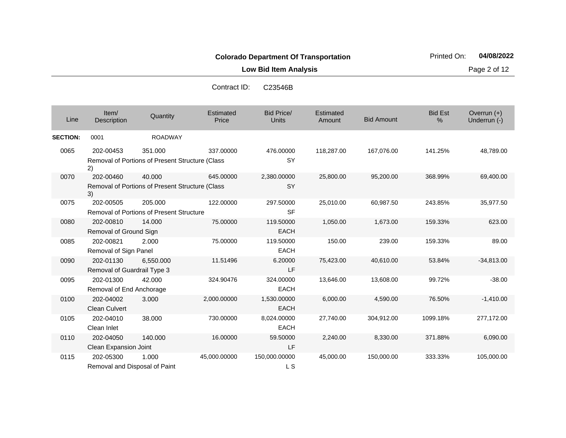**Low Bid Item Analysis Page 2 of 12** 

Contract ID: C23546B

| Line            | Item/<br>Description                       | Quantity                                                          | Estimated<br>Price | Bid Price/<br>Units        | Estimated<br>Amount | <b>Bid Amount</b> | <b>Bid Est</b><br>% | Overrun $(+)$<br>Underrun (-) |
|-----------------|--------------------------------------------|-------------------------------------------------------------------|--------------------|----------------------------|---------------------|-------------------|---------------------|-------------------------------|
| <b>SECTION:</b> | 0001                                       | <b>ROADWAY</b>                                                    |                    |                            |                     |                   |                     |                               |
| 0065            | 202-00453<br>2)                            | 351.000<br>Removal of Portions of Present Structure (Class        | 337.00000          | 476.00000<br><b>SY</b>     | 118,287.00          | 167,076.00        | 141.25%             | 48,789.00                     |
| 0070            | 202-00460<br>3)                            | 40.000<br><b>Removal of Portions of Present Structure (Class)</b> | 645.00000          | 2,380.00000<br><b>SY</b>   | 25,800.00           | 95,200.00         | 368.99%             | 69,400.00                     |
| 0075            | 202-00505                                  | 205.000<br><b>Removal of Portions of Present Structure</b>        | 122.00000          | 297.50000<br><b>SF</b>     | 25,010.00           | 60,987.50         | 243.85%             | 35,977.50                     |
| 0080            | 202-00810<br>Removal of Ground Sign        | 14.000                                                            | 75.00000           | 119.50000<br><b>EACH</b>   | 1,050.00            | 1,673.00          | 159.33%             | 623.00                        |
| 0085            | 202-00821<br>Removal of Sign Panel         | 2.000                                                             | 75.00000           | 119.50000<br><b>EACH</b>   | 150.00              | 239.00            | 159.33%             | 89.00                         |
| 0090            | 202-01130<br>Removal of Guardrail Type 3   | 6,550.000                                                         | 11.51496           | 6.20000<br>LF              | 75,423.00           | 40,610.00         | 53.84%              | $-34,813.00$                  |
| 0095            | 202-01300<br>Removal of End Anchorage      | 42.000                                                            | 324.90476          | 324.00000<br><b>EACH</b>   | 13,646.00           | 13,608.00         | 99.72%              | $-38.00$                      |
| 0100            | 202-04002<br><b>Clean Culvert</b>          | 3.000                                                             | 2,000.00000        | 1,530.00000<br><b>EACH</b> | 6,000.00            | 4,590.00          | 76.50%              | $-1,410.00$                   |
| 0105            | 202-04010<br>Clean Inlet                   | 38.000                                                            | 730.00000          | 8,024.00000<br><b>EACH</b> | 27,740.00           | 304,912.00        | 1099.18%            | 277,172.00                    |
| 0110            | 202-04050<br>Clean Expansion Joint         | 140.000                                                           | 16.00000           | 59.50000<br>LF             | 2,240.00            | 8,330.00          | 371.88%             | 6,090.00                      |
| 0115            | 202-05300<br>Removal and Disposal of Paint | 1.000                                                             | 45,000.00000       | 150,000.00000<br>L S       | 45,000.00           | 150,000.00        | 333.33%             | 105,000.00                    |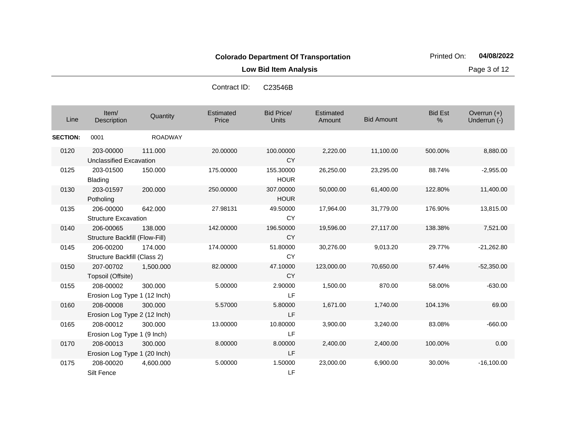**Low Bid Item Analysis Page 3 of 12** 

| Contract ID: | C23546B |
|--------------|---------|
|              |         |

| Line            | Item/<br><b>Description</b>                 | Quantity       | Estimated<br>Price | <b>Bid Price/</b><br>Units | Estimated<br>Amount | <b>Bid Amount</b> | <b>Bid Est</b><br>% | Overrun $(+)$<br>Underrun (-) |
|-----------------|---------------------------------------------|----------------|--------------------|----------------------------|---------------------|-------------------|---------------------|-------------------------------|
| <b>SECTION:</b> | 0001                                        | <b>ROADWAY</b> |                    |                            |                     |                   |                     |                               |
| 0120            | 203-00000<br>Unclassified Excavation        | 111.000        | 20.00000           | 100.00000<br><b>CY</b>     | 2,220.00            | 11,100.00         | 500.00%             | 8,880.00                      |
| 0125            | 203-01500<br><b>Blading</b>                 | 150.000        | 175.00000          | 155.30000<br><b>HOUR</b>   | 26,250.00           | 23,295.00         | 88.74%              | $-2,955.00$                   |
| 0130            | 203-01597<br>Potholing                      | 200.000        | 250.00000          | 307.00000<br><b>HOUR</b>   | 50,000.00           | 61,400.00         | 122.80%             | 11,400.00                     |
| 0135            | 206-00000<br><b>Structure Excavation</b>    | 642.000        | 27.98131           | 49.50000<br><b>CY</b>      | 17,964.00           | 31,779.00         | 176.90%             | 13,815.00                     |
| 0140            | 206-00065<br>Structure Backfill (Flow-Fill) | 138,000        | 142.00000          | 196.50000<br><b>CY</b>     | 19,596.00           | 27,117.00         | 138.38%             | 7,521.00                      |
| 0145            | 206-00200<br>Structure Backfill (Class 2)   | 174.000        | 174.00000          | 51.80000<br>CY             | 30,276.00           | 9,013.20          | 29.77%              | $-21,262.80$                  |
| 0150            | 207-00702<br>Topsoil (Offsite)              | 1,500.000      | 82.00000           | 47.10000<br><b>CY</b>      | 123,000.00          | 70,650.00         | 57.44%              | $-52,350.00$                  |
| 0155            | 208-00002<br>Erosion Log Type 1 (12 Inch)   | 300.000        | 5.00000            | 2.90000<br>LF              | 1,500.00            | 870.00            | 58.00%              | $-630.00$                     |
| 0160            | 208-00008<br>Erosion Log Type 2 (12 Inch)   | 300,000        | 5.57000            | 5.80000<br>LF              | 1,671.00            | 1,740.00          | 104.13%             | 69.00                         |
| 0165            | 208-00012<br>Erosion Log Type 1 (9 Inch)    | 300.000        | 13.00000           | 10.80000<br>LF             | 3,900.00            | 3,240.00          | 83.08%              | $-660.00$                     |
| 0170            | 208-00013<br>Erosion Log Type 1 (20 Inch)   | 300.000        | 8.00000            | 8.00000<br>LF              | 2,400.00            | 2,400.00          | 100.00%             | 0.00                          |
| 0175            | 208-00020<br>Silt Fence                     | 4,600.000      | 5.00000            | 1.50000<br>LF              | 23,000.00           | 6,900.00          | 30.00%              | $-16,100.00$                  |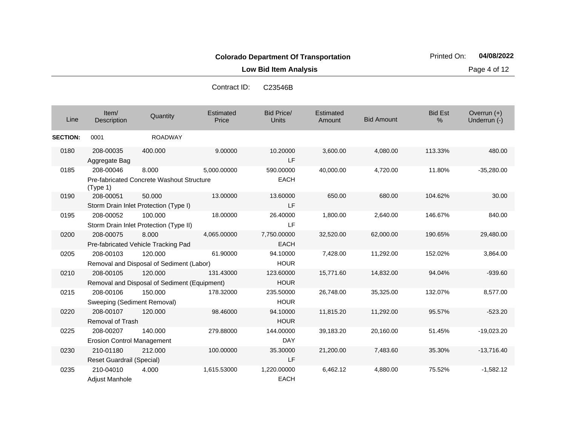**Low Bid Item Analysis Page 4 of 12** 

Contract ID: C23546B

| Line            | Item/<br>Description                           | Quantity                                                  | Estimated<br>Price | <b>Bid Price/</b><br><b>Units</b> | Estimated<br>Amount | <b>Bid Amount</b> | <b>Bid Est</b><br>% | Overrun $(+)$<br>Underrun (-) |
|-----------------|------------------------------------------------|-----------------------------------------------------------|--------------------|-----------------------------------|---------------------|-------------------|---------------------|-------------------------------|
| <b>SECTION:</b> | 0001                                           | <b>ROADWAY</b>                                            |                    |                                   |                     |                   |                     |                               |
| 0180            | 208-00035<br>Aggregate Bag                     | 400.000                                                   | 9.00000            | 10.20000<br>LF                    | 3,600.00            | 4,080.00          | 113.33%             | 480.00                        |
| 0185            | 208-00046<br>(Type 1)                          | 8.000<br><b>Pre-fabricated Concrete Washout Structure</b> | 5,000.00000        | 590.00000<br><b>EACH</b>          | 40,000.00           | 4,720.00          | 11.80%              | $-35,280.00$                  |
| 0190            | 208-00051                                      | 50.000<br>Storm Drain Inlet Protection (Type I)           | 13.00000           | 13.60000<br>LF                    | 650.00              | 680.00            | 104.62%             | 30.00                         |
| 0195            | 208-00052                                      | 100.000<br>Storm Drain Inlet Protection (Type II)         | 18.00000           | 26.40000<br>LF                    | 1,800.00            | 2,640.00          | 146.67%             | 840.00                        |
| 0200            | 208-00075                                      | 8.000<br>Pre-fabricated Vehicle Tracking Pad              | 4,065.00000        | 7,750.00000<br><b>EACH</b>        | 32,520.00           | 62,000.00         | 190.65%             | 29,480.00                     |
| 0205            | 208-00103                                      | 120.000<br>Removal and Disposal of Sediment (Labor)       | 61.90000           | 94.10000<br><b>HOUR</b>           | 7,428.00            | 11,292.00         | 152.02%             | 3,864.00                      |
| 0210            | 208-00105                                      | 120.000<br>Removal and Disposal of Sediment (Equipment)   | 131.43000          | 123.60000<br><b>HOUR</b>          | 15,771.60           | 14,832.00         | 94.04%              | $-939.60$                     |
| 0215            | 208-00106<br>Sweeping (Sediment Removal)       | 150.000                                                   | 178.32000          | 235.50000<br><b>HOUR</b>          | 26,748.00           | 35,325.00         | 132.07%             | 8,577.00                      |
| 0220            | 208-00107<br><b>Removal of Trash</b>           | 120,000                                                   | 98.46000           | 94.10000<br><b>HOUR</b>           | 11,815.20           | 11,292.00         | 95.57%              | $-523.20$                     |
| 0225            | 208-00207<br><b>Erosion Control Management</b> | 140.000                                                   | 279.88000          | 144.00000<br><b>DAY</b>           | 39,183.20           | 20,160.00         | 51.45%              | $-19,023.20$                  |
| 0230            | 210-01180<br>Reset Guardrail (Special)         | 212.000                                                   | 100.00000          | 35.30000<br>LF                    | 21,200.00           | 7,483.60          | 35.30%              | $-13,716.40$                  |
| 0235            | 210-04010<br><b>Adiust Manhole</b>             | 4.000                                                     | 1,615.53000        | 1,220.00000<br><b>EACH</b>        | 6,462.12            | 4,880.00          | 75.52%              | $-1,582.12$                   |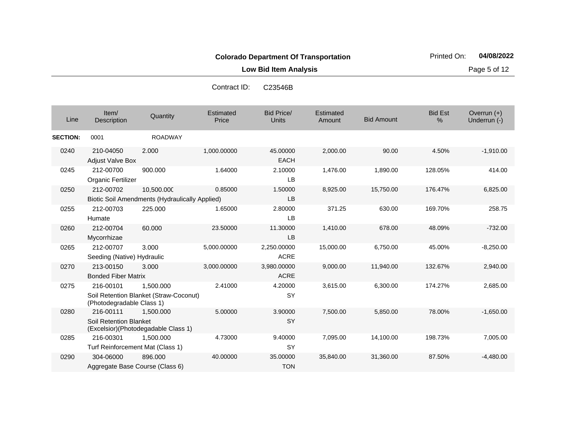**Low Bid Item Analysis Page 5 of 12** 

| Contract ID: | C23546B |
|--------------|---------|
|              |         |

| Line            | Item/<br>Description                                                               | Quantity       | Estimated<br>Price | <b>Bid Price/</b><br><b>Units</b> | Estimated<br>Amount | <b>Bid Amount</b> | <b>Bid Est</b><br>% | Overrun $(+)$<br>Underrun (-) |
|-----------------|------------------------------------------------------------------------------------|----------------|--------------------|-----------------------------------|---------------------|-------------------|---------------------|-------------------------------|
| <b>SECTION:</b> | 0001                                                                               | <b>ROADWAY</b> |                    |                                   |                     |                   |                     |                               |
| 0240            | 210-04050<br><b>Adjust Valve Box</b>                                               | 2.000          | 1,000.00000        | 45.00000<br><b>EACH</b>           | 2,000.00            | 90.00             | 4.50%               | $-1,910.00$                   |
| 0245            | 212-00700<br>Organic Fertilizer                                                    | 900.000        | 1.64000            | 2.10000<br><b>LB</b>              | 1,476.00            | 1,890.00          | 128.05%             | 414.00                        |
| 0250            | 212-00702<br>Biotic Soil Amendments (Hydraulically Applied)                        | 10,500.000     | 0.85000            | 1.50000<br><b>LB</b>              | 8,925.00            | 15,750.00         | 176.47%             | 6,825.00                      |
| 0255            | 212-00703<br>Humate                                                                | 225.000        | 1.65000            | 2.80000<br><b>LB</b>              | 371.25              | 630.00            | 169.70%             | 258.75                        |
| 0260            | 212-00704<br>Mycorrhizae                                                           | 60,000         | 23.50000           | 11.30000<br><b>LB</b>             | 1,410.00            | 678.00            | 48.09%              | $-732.00$                     |
| 0265            | 212-00707<br>Seeding (Native) Hydraulic                                            | 3.000          | 5,000.00000        | 2,250.00000<br><b>ACRE</b>        | 15,000.00           | 6,750.00          | 45.00%              | $-8,250.00$                   |
| 0270            | 213-00150<br><b>Bonded Fiber Matrix</b>                                            | 3.000          | 3,000.00000        | 3,980.00000<br><b>ACRE</b>        | 9,000.00            | 11,940.00         | 132.67%             | 2,940.00                      |
| 0275            | 216-00101<br>Soil Retention Blanket (Straw-Coconut)<br>(Photodegradable Class 1)   | 1,500.000      | 2.41000            | 4.20000<br><b>SY</b>              | 3,615.00            | 6,300.00          | 174.27%             | 2,685.00                      |
| 0280            | 216-00111<br><b>Soil Retention Blanket</b><br>(Excelsior) (Photodegadable Class 1) | 1.500.000      | 5.00000            | 3.90000<br><b>SY</b>              | 7,500.00            | 5,850.00          | 78.00%              | $-1,650.00$                   |
| 0285            | 216-00301<br>Turf Reinforcement Mat (Class 1)                                      | 1,500.000      | 4.73000            | 9.40000<br><b>SY</b>              | 7,095.00            | 14,100.00         | 198.73%             | 7,005.00                      |
| 0290            | 304-06000<br>Aggregate Base Course (Class 6)                                       | 896,000        | 40.00000           | 35.00000<br><b>TON</b>            | 35,840.00           | 31,360.00         | 87.50%              | $-4,480.00$                   |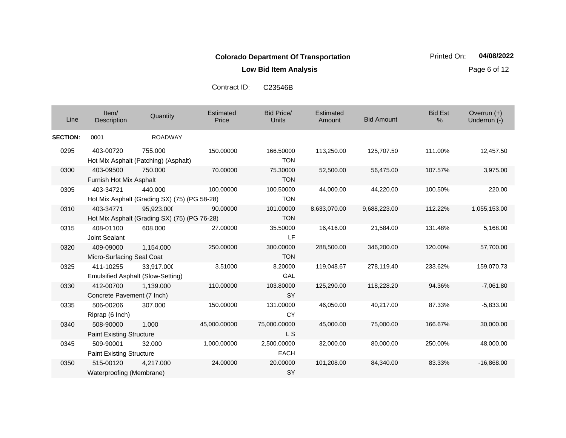**Low Bid Item Analysis Page 6 of 12** 

| Contract ID: | C23546B |
|--------------|---------|
|--------------|---------|

| Line            | Item/<br><b>Description</b>                    | Quantity                                                   | Estimated<br>Price | <b>Bid Price/</b><br><b>Units</b> | Estimated<br>Amount | <b>Bid Amount</b> | <b>Bid Est</b><br>% | Overrun $(+)$<br>Underrun (-) |
|-----------------|------------------------------------------------|------------------------------------------------------------|--------------------|-----------------------------------|---------------------|-------------------|---------------------|-------------------------------|
| <b>SECTION:</b> | 0001                                           | <b>ROADWAY</b>                                             |                    |                                   |                     |                   |                     |                               |
| 0295            | 403-00720                                      | 755.000<br>Hot Mix Asphalt (Patching) (Asphalt)            | 150.00000          | 166.50000<br><b>TON</b>           | 113,250.00          | 125,707.50        | 111.00%             | 12,457.50                     |
| 0300            | 403-09500<br>Furnish Hot Mix Asphalt           | 750.000                                                    | 70.00000           | 75.30000<br><b>TON</b>            | 52,500.00           | 56,475.00         | 107.57%             | 3,975.00                      |
| 0305            | 403-34721                                      | 440.000<br>Hot Mix Asphalt (Grading SX) (75) (PG 58-28)    | 100.00000          | 100.50000<br><b>TON</b>           | 44,000.00           | 44,220.00         | 100.50%             | 220.00                        |
| 0310            | 403-34771                                      | 95,923.000<br>Hot Mix Asphalt (Grading SX) (75) (PG 76-28) | 90.00000           | 101.00000<br><b>TON</b>           | 8,633,070.00        | 9,688,223.00      | 112.22%             | 1,055,153.00                  |
| 0315            | 408-01100<br>Joint Sealant                     | 608.000                                                    | 27.00000           | 35.50000<br>LF                    | 16,416.00           | 21,584.00         | 131.48%             | 5,168.00                      |
| 0320            | 409-09000<br>Micro-Surfacing Seal Coat         | 1.154.000                                                  | 250.00000          | 300.00000<br><b>TON</b>           | 288,500.00          | 346,200.00        | 120.00%             | 57,700.00                     |
| 0325            | 411-10255<br>Emulsified Asphalt (Slow-Setting) | 33,917.000                                                 | 3.51000            | 8.20000<br>GAL                    | 119,048.67          | 278,119.40        | 233.62%             | 159,070.73                    |
| 0330            | 412-00700<br>Concrete Pavement (7 Inch)        | 1,139.000                                                  | 110.00000          | 103.80000<br><b>SY</b>            | 125,290.00          | 118,228.20        | 94.36%              | $-7,061.80$                   |
| 0335            | 506-00206<br>Riprap (6 Inch)                   | 307.000                                                    | 150.00000          | 131.00000<br><b>CY</b>            | 46,050.00           | 40,217.00         | 87.33%              | $-5.833.00$                   |
| 0340            | 508-90000<br><b>Paint Existing Structure</b>   | 1.000                                                      | 45,000.00000       | 75,000.00000<br>L S               | 45,000.00           | 75,000.00         | 166.67%             | 30,000.00                     |
| 0345            | 509-90001<br><b>Paint Existing Structure</b>   | 32.000                                                     | 1,000.00000        | 2,500.00000<br><b>EACH</b>        | 32,000.00           | 80,000.00         | 250.00%             | 48,000.00                     |
| 0350            | 515-00120<br>Waterproofing (Membrane)          | 4,217.000                                                  | 24.00000           | 20.00000<br>SY                    | 101,208.00          | 84,340.00         | 83.33%              | $-16,868.00$                  |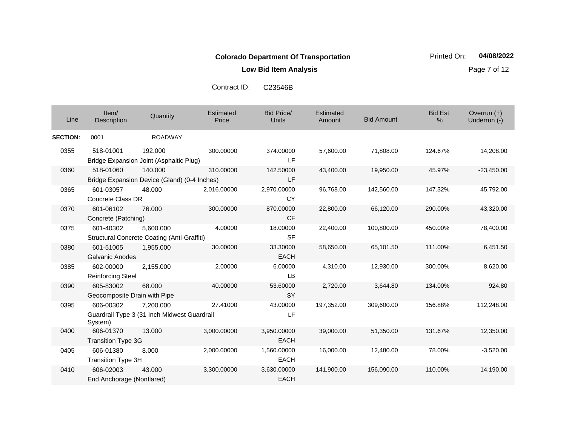**Low Bid Item Analysis Page 7 of 12** 

| Contract ID: | C23546B |
|--------------|---------|
|--------------|---------|

| Line            | Item/<br>Description                      | Quantity                                                        | Estimated<br>Price | <b>Bid Price/</b><br><b>Units</b> | Estimated<br>Amount | <b>Bid Amount</b> | <b>Bid Est</b><br>% | Overrun $(+)$<br>Underrun (-) |
|-----------------|-------------------------------------------|-----------------------------------------------------------------|--------------------|-----------------------------------|---------------------|-------------------|---------------------|-------------------------------|
| <b>SECTION:</b> | 0001                                      | <b>ROADWAY</b>                                                  |                    |                                   |                     |                   |                     |                               |
| 0355            | 518-01001                                 | 192,000<br>Bridge Expansion Joint (Asphaltic Plug)              | 300.00000          | 374.00000<br>LF                   | 57,600.00           | 71,808.00         | 124.67%             | 14,208.00                     |
| 0360            | 518-01060                                 | 140.000<br>Bridge Expansion Device (Gland) (0-4 Inches)         | 310.00000          | 142.50000<br>LF                   | 43,400.00           | 19,950.00         | 45.97%              | $-23,450.00$                  |
| 0365            | 601-03057<br>Concrete Class DR            | 48.000                                                          | 2,016.00000        | 2,970.00000<br><b>CY</b>          | 96,768.00           | 142,560.00        | 147.32%             | 45,792.00                     |
| 0370            | 601-06102<br>Concrete (Patching)          | 76.000                                                          | 300.00000          | 870.00000<br><b>CF</b>            | 22,800.00           | 66,120.00         | 290.00%             | 43,320.00                     |
| 0375            | 601-40302                                 | 5,600.000<br><b>Structural Concrete Coating (Anti-Graffiti)</b> | 4.00000            | 18.00000<br><b>SF</b>             | 22,400.00           | 100,800.00        | 450.00%             | 78,400.00                     |
| 0380            | 601-51005<br>Galvanic Anodes              | 1,955.000                                                       | 30.00000           | 33.30000<br><b>EACH</b>           | 58,650.00           | 65,101.50         | 111.00%             | 6,451.50                      |
| 0385            | 602-00000<br><b>Reinforcing Steel</b>     | 2,155.000                                                       | 2.00000            | 6.00000<br>LB                     | 4,310.00            | 12,930.00         | 300.00%             | 8,620.00                      |
| 0390            | 605-83002<br>Geocomposite Drain with Pipe | 68.000                                                          | 40.00000           | 53.60000<br><b>SY</b>             | 2,720.00            | 3,644.80          | 134.00%             | 924.80                        |
| 0395            | 606-00302<br>System)                      | 7,200.000<br>Guardrail Type 3 (31 Inch Midwest Guardrail        | 27.41000           | 43.00000<br>LF                    | 197,352.00          | 309,600.00        | 156.88%             | 112,248.00                    |
| 0400            | 606-01370<br><b>Transition Type 3G</b>    | 13.000                                                          | 3,000.00000        | 3,950.00000<br><b>EACH</b>        | 39,000.00           | 51,350.00         | 131.67%             | 12,350.00                     |
| 0405            | 606-01380<br>Transition Type 3H           | 8.000                                                           | 2,000.00000        | 1,560.00000<br><b>EACH</b>        | 16,000.00           | 12,480.00         | 78.00%              | $-3,520.00$                   |
| 0410            | 606-02003<br>End Anchorage (Nonflared)    | 43.000                                                          | 3,300.00000        | 3,630.00000<br><b>EACH</b>        | 141,900.00          | 156,090.00        | 110.00%             | 14,190.00                     |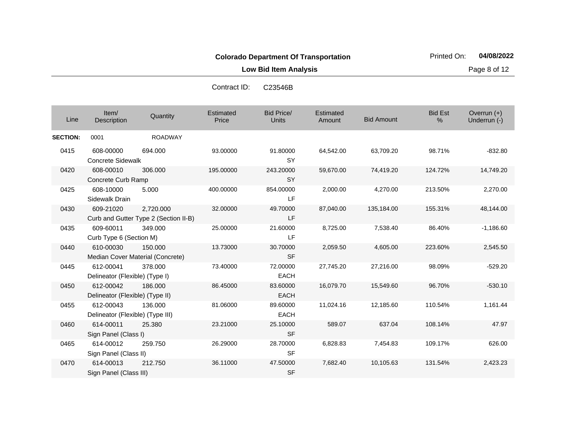**Low Bid Item Analysis Page 8 of 12** 

| Contract ID: | C23546B |
|--------------|---------|
|              |         |

| Line            | Item/<br>Description                          | Quantity                                           | <b>Estimated</b><br>Price | <b>Bid Price/</b><br>Units | Estimated<br>Amount | <b>Bid Amount</b> | <b>Bid Est</b><br>% | Overrun (+)<br>Underrun (-) |
|-----------------|-----------------------------------------------|----------------------------------------------------|---------------------------|----------------------------|---------------------|-------------------|---------------------|-----------------------------|
| <b>SECTION:</b> | 0001                                          | <b>ROADWAY</b>                                     |                           |                            |                     |                   |                     |                             |
| 0415            | 608-00000<br><b>Concrete Sidewalk</b>         | 694.000                                            | 93.00000                  | 91.80000<br><b>SY</b>      | 64,542.00           | 63,709.20         | 98.71%              | $-832.80$                   |
| 0420            | 608-00010<br>Concrete Curb Ramp               | 306,000                                            | 195.00000                 | 243.20000<br><b>SY</b>     | 59,670.00           | 74,419.20         | 124.72%             | 14,749.20                   |
| 0425            | 608-10000<br>Sidewalk Drain                   | 5.000                                              | 400.00000                 | 854.00000<br><b>LF</b>     | 2,000.00            | 4,270.00          | 213.50%             | 2,270.00                    |
| 0430            | 609-21020                                     | 2.720.000<br>Curb and Gutter Type 2 (Section II-B) | 32.00000                  | 49.70000<br>LF             | 87,040.00           | 135,184.00        | 155.31%             | 48,144.00                   |
| 0435            | 609-60011<br>Curb Type 6 (Section M)          | 349.000                                            | 25.00000                  | 21.60000<br><b>LF</b>      | 8,725.00            | 7,538.40          | 86.40%              | $-1,186.60$                 |
| 0440            | 610-00030                                     | 150,000<br>Median Cover Material (Concrete)        | 13.73000                  | 30.70000<br><b>SF</b>      | 2,059.50            | 4,605.00          | 223.60%             | 2,545.50                    |
| 0445            | 612-00041<br>Delineator (Flexible) (Type I)   | 378,000                                            | 73.40000                  | 72.00000<br><b>EACH</b>    | 27,745.20           | 27,216.00         | 98.09%              | $-529.20$                   |
| 0450            | 612-00042<br>Delineator (Flexible) (Type II)  | 186,000                                            | 86.45000                  | 83.60000<br><b>EACH</b>    | 16,079.70           | 15,549.60         | 96.70%              | $-530.10$                   |
| 0455            | 612-00043<br>Delineator (Flexible) (Type III) | 136,000                                            | 81.06000                  | 89.60000<br><b>EACH</b>    | 11,024.16           | 12,185.60         | 110.54%             | 1,161.44                    |
| 0460            | 614-00011<br>Sign Panel (Class I)             | 25.380                                             | 23.21000                  | 25.10000<br><b>SF</b>      | 589.07              | 637.04            | 108.14%             | 47.97                       |
| 0465            | 614-00012<br>Sign Panel (Class II)            | 259.750                                            | 26.29000                  | 28.70000<br><b>SF</b>      | 6,828.83            | 7,454.83          | 109.17%             | 626.00                      |
| 0470            | 614-00013<br>Sign Panel (Class III)           | 212.750                                            | 36.11000                  | 47.50000<br><b>SF</b>      | 7,682.40            | 10,105.63         | 131.54%             | 2,423.23                    |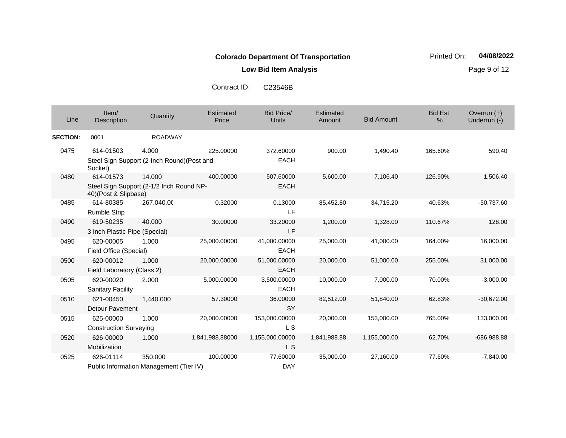**Low Bid Item Analysis Page 9 of 12** 

| Contract ID: | C23546B |
|--------------|---------|
|--------------|---------|

| Line            | Item/<br>Description                                                                     | Quantity       | Estimated<br>Price | <b>Bid Price/</b><br><b>Units</b> | Estimated<br>Amount | <b>Bid Amount</b> | <b>Bid Est</b><br>% | Overrun $(+)$<br>Underrun (-) |
|-----------------|------------------------------------------------------------------------------------------|----------------|--------------------|-----------------------------------|---------------------|-------------------|---------------------|-------------------------------|
| <b>SECTION:</b> | 0001                                                                                     | <b>ROADWAY</b> |                    |                                   |                     |                   |                     |                               |
| 0475            | 614-01503<br>Steel Sign Support (2-Inch Round)(Post and                                  | 4.000          | 225.00000          | 372.60000<br><b>EACH</b>          | 900.00              | 1,490.40          | 165.60%             | 590.40                        |
| 0480            | Socket)<br>614-01573<br>Steel Sign Support (2-1/2 Inch Round NP-<br>40)(Post & Slipbase) | 14.000         | 400.00000          | 507.60000<br><b>EACH</b>          | 5,600.00            | 7,106.40          | 126.90%             | 1,506.40                      |
| 0485            | 614-80385<br><b>Rumble Strip</b>                                                         | 267,040.00     | 0.32000            | 0.13000<br>LF                     | 85,452.80           | 34,715.20         | 40.63%              | $-50,737.60$                  |
| 0490            | 619-50235<br>3 Inch Plastic Pipe (Special)                                               | 40,000         | 30.00000           | 33.20000<br>LF                    | 1,200.00            | 1,328.00          | 110.67%             | 128.00                        |
| 0495            | 620-00005<br>Field Office (Special)                                                      | 1.000          | 25,000.00000       | 41,000.00000<br><b>EACH</b>       | 25,000.00           | 41,000.00         | 164.00%             | 16,000.00                     |
| 0500            | 620-00012<br>Field Laboratory (Class 2)                                                  | 1.000          | 20,000.00000       | 51,000.00000<br><b>EACH</b>       | 20,000.00           | 51,000.00         | 255.00%             | 31,000.00                     |
| 0505            | 620-00020<br><b>Sanitary Facility</b>                                                    | 2.000          | 5,000.00000        | 3,500.00000<br><b>EACH</b>        | 10,000.00           | 7,000.00          | 70.00%              | $-3,000.00$                   |
| 0510            | 621-00450<br><b>Detour Pavement</b>                                                      | 1,440.000      | 57.30000           | 36.00000<br><b>SY</b>             | 82,512.00           | 51,840.00         | 62.83%              | $-30,672.00$                  |
| 0515            | 625-00000<br><b>Construction Surveying</b>                                               | 1.000          | 20,000.00000       | 153,000.00000<br><b>LS</b>        | 20,000.00           | 153,000.00        | 765.00%             | 133,000.00                    |
| 0520            | 626-00000<br>Mobilization                                                                | 1.000          | 1,841,988.88000    | 1,155,000.00000<br>L S            | 1,841,988.88        | 1,155,000.00      | 62.70%              | -686,988.88                   |
| 0525            | 626-01114<br>Public Information Management (Tier IV)                                     | 350.000        | 100.00000          | 77.60000<br><b>DAY</b>            | 35,000.00           | 27,160.00         | 77.60%              | $-7,840.00$                   |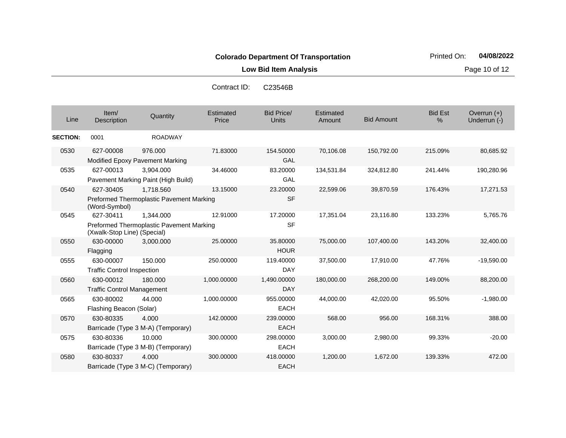**Low Bid Item Analysis Page 10 of 12** 

| Contract ID: | C23546B |
|--------------|---------|
|--------------|---------|

| Line            | Item/<br>Description                           | Quantity                                              | Estimated<br>Price | <b>Bid Price/</b><br>Units | Estimated<br>Amount | <b>Bid Amount</b> | <b>Bid Est</b><br>$\%$ | Overrun $(+)$<br>Underrun (-) |
|-----------------|------------------------------------------------|-------------------------------------------------------|--------------------|----------------------------|---------------------|-------------------|------------------------|-------------------------------|
| <b>SECTION:</b> | 0001                                           | <b>ROADWAY</b>                                        |                    |                            |                     |                   |                        |                               |
| 0530            | 627-00008                                      | 976,000<br>Modified Epoxy Pavement Marking            | 71.83000           | 154.50000<br>GAL           | 70,106.08           | 150,792.00        | 215.09%                | 80,685.92                     |
| 0535            | 627-00013                                      | 3,904.000<br>Pavement Marking Paint (High Build)      | 34.46000           | 83.20000<br>GAL            | 134,531.84          | 324,812.80        | 241.44%                | 190,280.96                    |
| 0540            | 627-30405<br>(Word-Symbol)                     | 1.718.560<br>Preformed Thermoplastic Pavement Marking | 13.15000           | 23.20000<br><b>SF</b>      | 22,599.06           | 39,870.59         | 176.43%                | 17,271.53                     |
| 0545            | 627-30411<br>(Xwalk-Stop Line) (Special)       | 1.344.000<br>Preformed Thermoplastic Pavement Marking | 12.91000           | 17.20000<br><b>SF</b>      | 17,351.04           | 23,116.80         | 133.23%                | 5,765.76                      |
| 0550            | 630-00000<br>Flagging                          | 3,000.000                                             | 25.00000           | 35.80000<br><b>HOUR</b>    | 75,000.00           | 107,400.00        | 143.20%                | 32,400.00                     |
| 0555            | 630-00007<br><b>Traffic Control Inspection</b> | 150.000                                               | 250.00000          | 119.40000<br><b>DAY</b>    | 37,500.00           | 17,910.00         | 47.76%                 | $-19,590.00$                  |
| 0560            | 630-00012<br><b>Traffic Control Management</b> | 180,000                                               | 1,000.00000        | 1,490.00000<br><b>DAY</b>  | 180,000.00          | 268,200.00        | 149.00%                | 88,200.00                     |
| 0565            | 630-80002<br>Flashing Beacon (Solar)           | 44.000                                                | 1,000.00000        | 955.00000<br><b>EACH</b>   | 44,000.00           | 42,020.00         | 95.50%                 | $-1,980.00$                   |
| 0570            | 630-80335                                      | 4.000<br>Barricade (Type 3 M-A) (Temporary)           | 142.00000          | 239.00000<br><b>EACH</b>   | 568.00              | 956.00            | 168.31%                | 388.00                        |
| 0575            | 630-80336                                      | 10.000<br>Barricade (Type 3 M-B) (Temporary)          | 300.00000          | 298.00000<br><b>EACH</b>   | 3,000.00            | 2,980.00          | 99.33%                 | $-20.00$                      |
| 0580            | 630-80337                                      | 4.000<br>Barricade (Type 3 M-C) (Temporary)           | 300.00000          | 418.00000<br><b>EACH</b>   | 1,200.00            | 1,672.00          | 139.33%                | 472.00                        |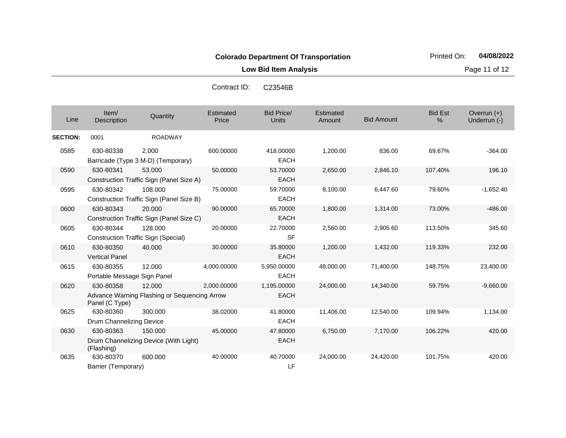**Low Bid Item Analysis Page 11 of 12** 

| Contract ID: | C23546B |
|--------------|---------|
|--------------|---------|

| Line            | Item/<br>Description                     | Quantity                                               | Estimated<br>Price | <b>Bid Price/</b><br>Units | Estimated<br>Amount | <b>Bid Amount</b> | <b>Bid Est</b><br>% | Overrun $(+)$<br>Underrun (-) |
|-----------------|------------------------------------------|--------------------------------------------------------|--------------------|----------------------------|---------------------|-------------------|---------------------|-------------------------------|
| <b>SECTION:</b> | 0001                                     | <b>ROADWAY</b>                                         |                    |                            |                     |                   |                     |                               |
| 0585            | 630-80338                                | 2.000<br>Barricade (Type 3 M-D) (Temporary)            | 600.00000          | 418.00000<br><b>EACH</b>   | 1,200.00            | 836.00            | 69.67%              | $-364.00$                     |
| 0590            | 630-80341                                | 53.000<br>Construction Traffic Sign (Panel Size A)     | 50.00000           | 53.70000<br><b>EACH</b>    | 2,650.00            | 2,846.10          | 107.40%             | 196.10                        |
| 0595            | 630-80342                                | 108.000<br>Construction Traffic Sign (Panel Size B)    | 75.00000           | 59.70000<br><b>EACH</b>    | 8,100.00            | 6,447.60          | 79.60%              | $-1,652.40$                   |
| 0600            | 630-80343                                | 20,000<br>Construction Traffic Sign (Panel Size C)     | 90.00000           | 65.70000<br><b>EACH</b>    | 1,800.00            | 1,314.00          | 73.00%              | $-486.00$                     |
| 0605            | 630-80344                                | 128.000<br>Construction Traffic Sign (Special)         | 20.00000           | 22.70000<br><b>SF</b>      | 2,560.00            | 2,905.60          | 113.50%             | 345.60                        |
| 0610            | 630-80350<br><b>Vertical Panel</b>       | 40.000                                                 | 30.00000           | 35.80000<br><b>EACH</b>    | 1,200.00            | 1,432.00          | 119.33%             | 232.00                        |
| 0615            | 630-80355<br>Portable Message Sign Panel | 12.000                                                 | 4,000.00000        | 5,950.00000<br><b>EACH</b> | 48,000.00           | 71,400.00         | 148.75%             | 23,400.00                     |
| 0620            | 630-80358<br>Panel (C Type)              | 12.000<br>Advance Warning Flashing or Sequencing Arrow | 2,000.00000        | 1,195.00000<br><b>EACH</b> | 24,000.00           | 14,340.00         | 59.75%              | $-9,660.00$                   |
| 0625            | 630-80360<br>Drum Channelizing Device    | 300.000                                                | 38.02000           | 41.80000<br><b>EACH</b>    | 11,406.00           | 12,540.00         | 109.94%             | 1,134.00                      |
| 0630            | 630-80363<br>(Flashing)                  | 150.000<br>Drum Channelizing Device (With Light)       | 45.00000           | 47.80000<br><b>EACH</b>    | 6,750.00            | 7,170.00          | 106.22%             | 420.00                        |
| 0635            | 630-80370<br>Barrier (Temporary)         | 600.000                                                | 40.00000           | 40.70000<br>LF             | 24,000.00           | 24,420.00         | 101.75%             | 420.00                        |